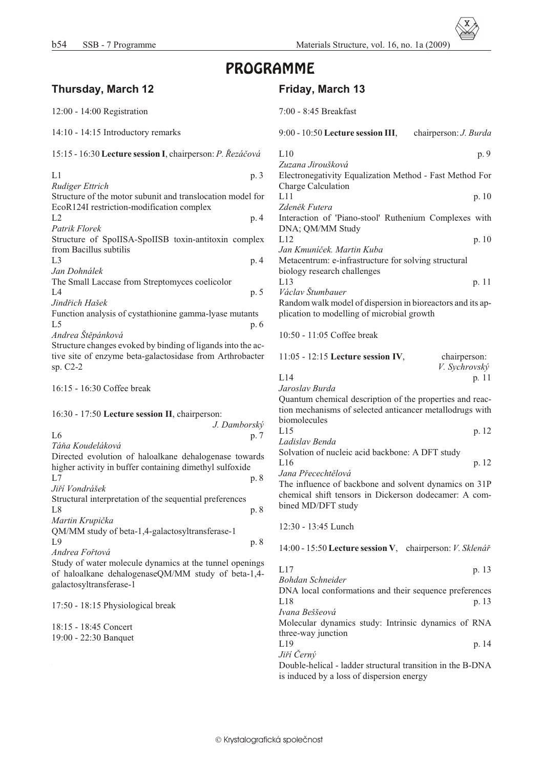# PROGRAMME

# **Thurs day, March 12**

| 12:00 - 14:00 Registration                                                                                                               |              |
|------------------------------------------------------------------------------------------------------------------------------------------|--------------|
| 14:10 - 14:15 Introductory remarks                                                                                                       |              |
| 15:15 - 16:30 Lecture session I, chairperson: P. Řezáčová                                                                                |              |
| L1                                                                                                                                       | p. 3         |
| Rudiger Ettrich<br>Structure of the motor subunit and translocation model for                                                            |              |
| EcoR124I restriction-modification complex<br>L <sub>2</sub>                                                                              | p. 4         |
| Patrik Florek<br>Structure of SpoIISA-SpoIISB toxin-antitoxin complex<br>from Bacillus subtilis                                          |              |
| L <sub>3</sub><br>Jan Dohnálek                                                                                                           | p. 4         |
| The Small Laccase from Streptomyces coelicolor<br>L4<br>Jindřich Hašek                                                                   | p. 5         |
| Function analysis of cystathionine gamma-lyase mutants<br>L <sub>5</sub><br>Andrea Štěpánková                                            | p. 6         |
| Structure changes evoked by binding of ligands into the ac-<br>tive site of enzyme beta-galactosidase from Arthrobacter<br>sp. C2-2      |              |
| 16:15 - 16:30 Coffee break                                                                                                               |              |
| 16:30 - 17:50 Lecture session II, chairperson:<br>L <sub>6</sub>                                                                         | J. Damborský |
| Táňa Koudeláková                                                                                                                         | p. 7         |
| Directed evolution of haloalkane dehalogenase towards<br>higher activity in buffer containing dimethyl sulfoxide                         |              |
| L7<br>Jiří Vondrášek                                                                                                                     | p. 8         |
| Structural interpretation of the sequential preferences<br>L8                                                                            | p. 8         |
| Martin Krupička<br>QM/MM study of beta-1,4-galactosyltransferase-1                                                                       |              |
| L9<br>Andrea Fořtová                                                                                                                     | p. 8         |
| Study of water molecule dynamics at the tunnel openings<br>of haloalkane dehalogenaseQM/MM study of beta-1,4-<br>galactosyltransferase-1 |              |
| 17:50 - 18:15 Physiological break                                                                                                        |              |

18:15 - 18:45 Concert 19:00 - 22:30 Banquet

### **Friday, March 13**

|  |  | 7:00 - 8:45 Breakfast |
|--|--|-----------------------|
|--|--|-----------------------|

# 00 - 10:50 Lecture session III, chairperson: *J. Burda*  $10^{p.9}$ *Zuzana Jiroušková* lectronegativity Equalization Method - Fast Method For harge Calculation

 $L11$  p. 10 *Zdenìk Futera* teraction of 'Piano-stool' Ruthenium Complexes with NA; QM/MM Study  $L12$  p. 10 *Jan Kmuníèek. Mar tin Kuba*

letacentrum: e-infrastructure for solving structural blogy research challenges L13 p. 11 *Václav Štumbauer*

andom walk model of dispersion in bioreactors and its apication to modelling of microbial growth

:50 - 11:05 Coffee break

| $11:05 - 12:15$ Lecture session IV. | chairperson:  |
|-------------------------------------|---------------|
|                                     | V. Svchrovský |
| L14                                 | p. 11         |

*Jaroslav Burda* uantum chemical description of the properties and reacon mechanisms of selected anticancer metallodrugs with omolecules L15 p. 12

| Ladislav Benda                                  |       |
|-------------------------------------------------|-------|
| Solvation of nucleic acid backbone: A DFT study |       |
| L16                                             | p. 12 |

*Jana Pøecechtìlová*

he influence of backbone and solvent dynamics on 31P emical shift tensors in Dickerson dodecamer: A comned MD/DFT study

12:30 - 13:45 Lunch

14:00 - 15:50 **Lec ture ses sion V**, chair per son: *V. Sklenáø*

| L17 | p. 13 |
|-----|-------|
|     |       |

*Bohdan Schnei der* NA local conformations and their sequence preferences L18 p. 13 *Ivana Beššeová*

Molecular dynamics study: Intrinsic dynamics of RNA three-way junction

L19 p. 14 *Jiøí Èerný*

Double-helical - ladder structural transition in the B-DNA is induced by a loss of dispersion energy